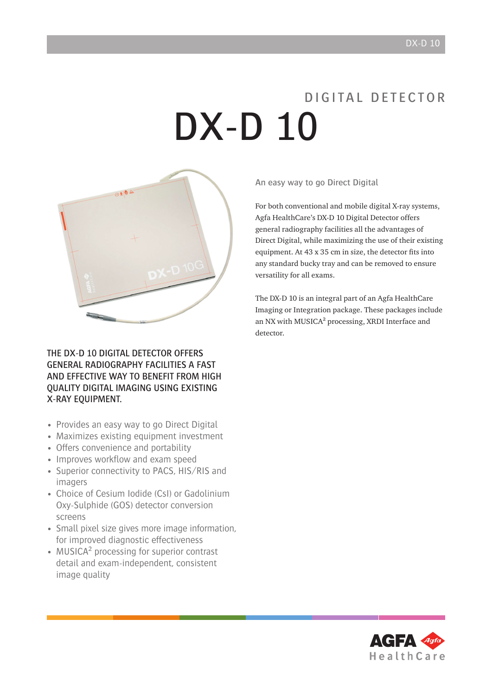# D I G I TAL D F T F C T O R DX-D 10



THE DX-D 10 DIGITAL DETECTOR OFFERS general radiography facilities a fast and effective way to benefit from high quality digital imaging using existing X-RAY EQUIPMENT.

- Provides an easy way to go Direct Digital
- Maximizes existing equipment investment
- Offers convenience and portability
- Improves workflow and exam speed
- Superior connectivity to PACS, HIS/RIS and imagers
- Choice of Cesium Iodide (CsI) or Gadolinium Oxy-Sulphide (GOS) detector conversion screens
- Small pixel size gives more image information, for improved diagnostic effectiveness
- MUSICA<sup>2</sup> processing for superior contrast detail and exam-independent, consistent image quality

An easy way to go Direct Digital

For both conventional and mobile digital X-ray systems, Agfa HealthCare's DX-D 10 Digital Detector offers general radiography facilities all the advantages of Direct Digital, while maximizing the use of their existing equipment. At 43 x 35 cm in size, the detector fits into any standard bucky tray and can be removed to ensure versatility for all exams.

The DX-D 10 is an integral part of an Agfa HealthCare Imaging or Integration package. These packages include an NX with MUSICA² processing, XRDI Interface and detector.

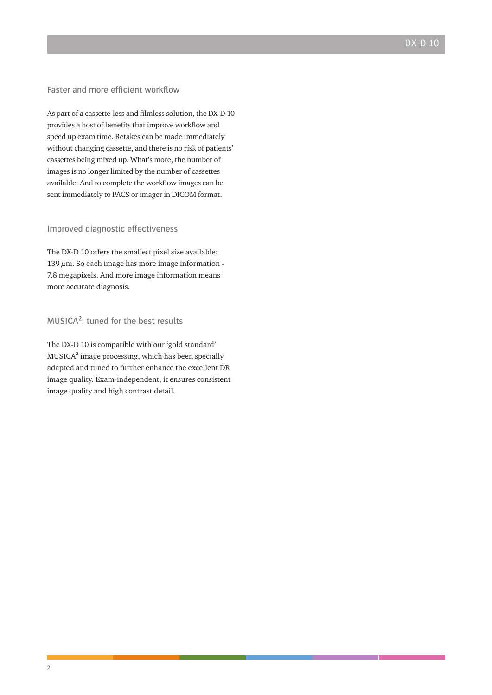#### Faster and more efficient workflow

As part of a cassette-less and filmless solution, the DX-D 10 provides a host of benefits that improve workflow and speed up exam time. Retakes can be made immediately without changing cassette, and there is no risk of patients' cassettes being mixed up. What's more, the number of images is no longer limited by the number of cassettes available. And to complete the workflow images can be sent immediately to PACS or imager in DICOM format.

#### Improved diagnostic effectiveness

The DX-D 10 offers the smallest pixel size available:  $139 \mu m$ . So each image has more image information -7.8 megapixels. And more image information means more accurate diagnosis.

### MUSICA²: tuned for the best results

The DX-D 10 is compatible with our 'gold standard' MUSICA² image processing, which has been specially adapted and tuned to further enhance the excellent DR image quality. Exam-independent, it ensures consistent image quality and high contrast detail.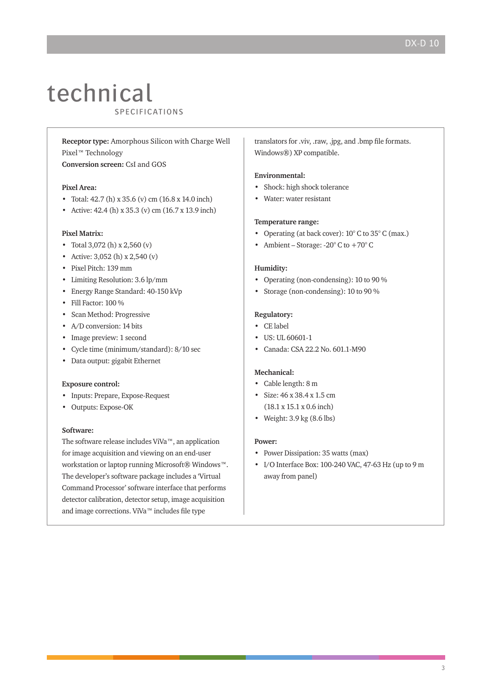## technical CUULITIIV

**Receptor type:** Amorphous Silicon with Charge Well Pixel™ Technology

**Conversion screen:** CsI and GOS

#### **Pixel Area:**

- Total: 42.7 (h) x 35.6 (v) cm (16.8 x 14.0 inch)
- Active: 42.4 (h) x 35.3 (v) cm (16.7 x 13.9 inch)

#### **Pixel Matrix:**

- Total 3,072 (h) x 2,560 (v)
- Active: 3,052 (h) x 2,540 (v)
- Pixel Pitch: 139 mm
- Limiting Resolution: 3.6 lp/mm
- Energy Range Standard: 40-150 kVp
- Fill Factor: 100 %
- Scan Method: Progressive
- A/D conversion: 14 bits
- Image preview: 1 second
- Cycle time (minimum/standard): 8/10 sec
- Data output: gigabit Ethernet

#### **Exposure control:**

- Inputs: Prepare, Expose-Request
- Outputs: Expose-OK

#### **Software:**

The software release includes ViVa™, an application for image acquisition and viewing on an end-user workstation or laptop running Microsoft® Windows™. The developer's software package includes a 'Virtual Command Processor' software interface that performs detector calibration, detector setup, image acquisition and image corrections. ViVa™ includes file type

translators for .viv, .raw, .jpg, and .bmp file formats. Windows®) XP compatible.

#### **Environmental:**

- Shock: high shock tolerance
- Water: water resistant

#### **Temperature range:**

- Operating (at back cover):  $10^{\circ}$  C to  $35^{\circ}$  C (max.)
- Ambient Storage:  $-20^{\circ}$  C to  $+70^{\circ}$  C

#### **Humidity:**

- Operating (non-condensing): 10 to 90 %
- Storage (non-condensing): 10 to 90 %

#### **Regulatory:**

- CE label
- US: UL 60601-1
- Canada: CSA 22.2 No. 601.1-M90

#### **Mechanical:**

- Cable length: 8 m
- Size: 46 x 38.4 x 1.5 cm
- (18.1 x 15.1 x 0.6 inch)
- Weight: 3.9 kg (8.6 lbs)

#### **Power:**

- Power Dissipation: 35 watts (max)
- I/O Interface Box: 100-240 VAC, 47-63 Hz (up to 9 m away from panel)